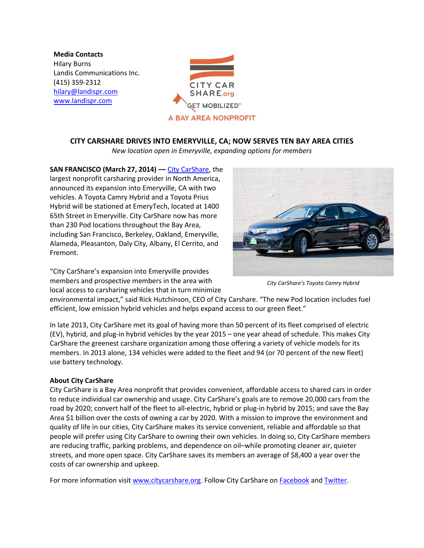**Media Contacts** Hilary Burns Landis Communications Inc. (415) 359-2312 [hilary@landispr.com](mailto:hilary@landispr.com) [www.landispr.com](http://www.landispr.com/)



## **CITY CARSHARE DRIVES INTO EMERYVILLE, CA; NOW SERVES TEN BAY AREA CITIES**

*New location open in Emeryville, expanding options for members*

**SAN FRANCISCO (March 27, 2014) ––** City [CarShare,](http://www.citycarshare.org/) the largest nonprofit carsharing provider in North America, announced its expansion into Emeryville, CA with two vehicles. A Toyota Camry Hybrid and a Toyota Prius Hybrid will be stationed at EmeryTech, located at 1400 65th Street in Emeryville. City CarShare now has more than 230 Pod locations throughout the Bay Area, including San Francisco, Berkeley, Oakland, Emeryville, Alameda, Pleasanton, Daly City, Albany, El Cerrito, and Fremont.

"City CarShare's expansion into Emeryville provides members and prospective members in the area with local access to carsharing vehicles that in turn minimize



*City CarShare's Toyota Camry Hybrid*

environmental impact," said Rick Hutchinson, CEO of City Carshare. "The new Pod location includes fuel efficient, low emission hybrid vehicles and helps expand access to our green fleet."

In late 2013, City CarShare met its goal of having more than 50 percent of its fleet comprised of electric (EV), hybrid, and plug-in hybrid vehicles by the year 2015 – one year ahead of schedule. This makes City CarShare the greenest carshare organization among those offering a variety of vehicle models for its members. In 2013 alone, 134 vehicles were added to the fleet and 94 (or 70 percent of the new fleet) use battery technology.

## **About City CarShare**

City CarShare is a Bay Area nonprofit that provides convenient, affordable access to shared cars in order to reduce individual car ownership and usage. City CarShare's goals are to remove 20,000 cars from the road by 2020; convert half of the fleet to all-electric, hybrid or plug-in hybrid by 2015; and save the Bay Area \$1 billion over the costs of owning a car by 2020. With a mission to improve the environment and quality of life in our cities, City CarShare makes its service convenient, reliable and affordable so that people will prefer using City CarShare to owning their own vehicles. In doing so, City CarShare members are reducing traffic, parking problems, and dependence on oil–while promoting cleaner air, quieter streets, and more open space. City CarShare saves its members an average of \$8,400 a year over the costs of car ownership and upkeep.

For more information visit [www.citycarshare.org.](http://www.citycarshare.org/) Follow City CarShare o[n Facebook](https://www.facebook.com/CityCarShare) an[d Twitter.](http://twitter.com/#!/cityCarShare)